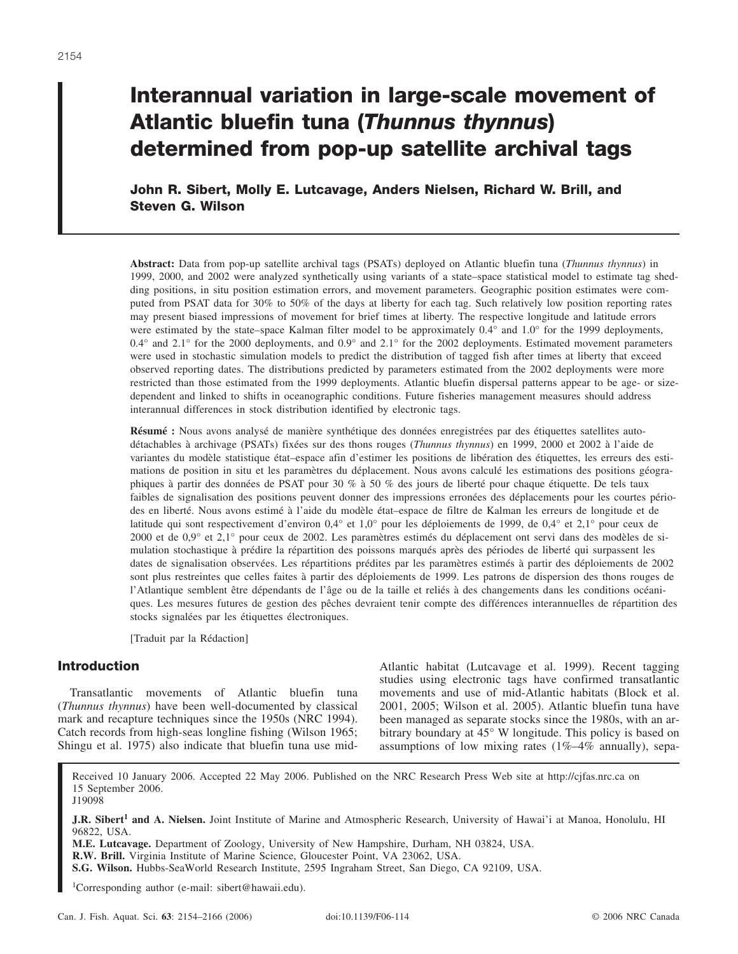# **Interannual variation in large-scale movement of Atlantic bluefin tuna (***Thunnus thynnus***) determined from pop-up satellite archival tags**

**John R. Sibert, Molly E. Lutcavage, Anders Nielsen, Richard W. Brill, and Steven G. Wilson**

**Abstract:** Data from pop-up satellite archival tags (PSATs) deployed on Atlantic bluefin tuna (*Thunnus thynnus*) in 1999, 2000, and 2002 were analyzed synthetically using variants of a state–space statistical model to estimate tag shedding positions, in situ position estimation errors, and movement parameters. Geographic position estimates were computed from PSAT data for 30% to 50% of the days at liberty for each tag. Such relatively low position reporting rates may present biased impressions of movement for brief times at liberty. The respective longitude and latitude errors were estimated by the state–space Kalman filter model to be approximately 0.4° and 1.0° for the 1999 deployments,  $0.4^\circ$  and  $2.1^\circ$  for the 2000 deployments, and  $0.9^\circ$  and  $2.1^\circ$  for the 2002 deployments. Estimated movement parameters were used in stochastic simulation models to predict the distribution of tagged fish after times at liberty that exceed observed reporting dates. The distributions predicted by parameters estimated from the 2002 deployments were more restricted than those estimated from the 1999 deployments. Atlantic bluefin dispersal patterns appear to be age- or sizedependent and linked to shifts in oceanographic conditions. Future fisheries management measures should address interannual differences in stock distribution identified by electronic tags.

**Résumé :** Nous avons analysé de manière synthétique des données enregistrées par des étiquettes satellites autodétachables à archivage (PSATs) fixées sur des thons rouges (*Thunnus thynnus*) en 1999, 2000 et 2002 à l'aide de variantes du modèle statistique état–espace afin d'estimer les positions de libération des étiquettes, les erreurs des estimations de position in situ et les paramètres du déplacement. Nous avons calculé les estimations des positions géographiques à partir des données de PSAT pour 30 % à 50 % des jours de liberté pour chaque étiquette. De tels taux faibles de signalisation des positions peuvent donner des impressions erronées des déplacements pour les courtes périodes en liberté. Nous avons estimé à l'aide du modèle état–espace de filtre de Kalman les erreurs de longitude et de latitude qui sont respectivement d'environ 0,4° et 1,0° pour les déploiements de 1999, de 0,4° et 2,1° pour ceux de 2000 et de 0,9° et 2,1° pour ceux de 2002. Les paramètres estimés du déplacement ont servi dans des modèles de simulation stochastique à prédire la répartition des poissons marqués après des périodes de liberté qui surpassent les dates de signalisation observées. Les répartitions prédites par les paramètres estimés à partir des déploiements de 2002 sont plus restreintes que celles faites à partir des déploiements de 1999. Les patrons de dispersion des thons rouges de l'Atlantique semblent être dépendants de l'âge ou de la taille et reliés à des changements dans les conditions océaniques. Les mesures futures de gestion des pêches devraient tenir compte des différences interannuelles de répartition des stocks signalées par les étiquettes électroniques.

[Traduit par la Rédaction]

# **Introduction**

Transatlantic movements of Atlantic bluefin tuna (*Thunnus thynnus*) have been well-documented by classical mark and recapture techniques since the 1950s (NRC 1994). Catch records from high-seas longline fishing (Wilson 1965; Shingu et al. 1975) also indicate that bluefin tuna use midAtlantic habitat (Lutcavage et al. 1999). Recent tagging studies using electronic tags have confirmed transatlantic movements and use of mid-Atlantic habitats (Block et al. 2001, 2005; Wilson et al. 2005). Atlantic bluefin tuna have been managed as separate stocks since the 1980s, with an arbitrary boundary at 45° W longitude. This policy is based on assumptions of low mixing rates (1%–4% annually), sepa-

Received 10 January 2006. Accepted 22 May 2006. Published on the NRC Research Press Web site at http://cjfas.nrc.ca on 15 September 2006. J19098

**J.R. Sibert<sup>1</sup> and A. Nielsen.** Joint Institute of Marine and Atmospheric Research, University of Hawai'i at Manoa, Honolulu, HI 96822, USA.

**M.E. Lutcavage.** Department of Zoology, University of New Hampshire, Durham, NH 03824, USA.

**R.W. Brill.** Virginia Institute of Marine Science, Gloucester Point, VA 23062, USA.

**S.G. Wilson.** Hubbs-SeaWorld Research Institute, 2595 Ingraham Street, San Diego, CA 92109, USA.

1 Corresponding author (e-mail: sibert@hawaii.edu).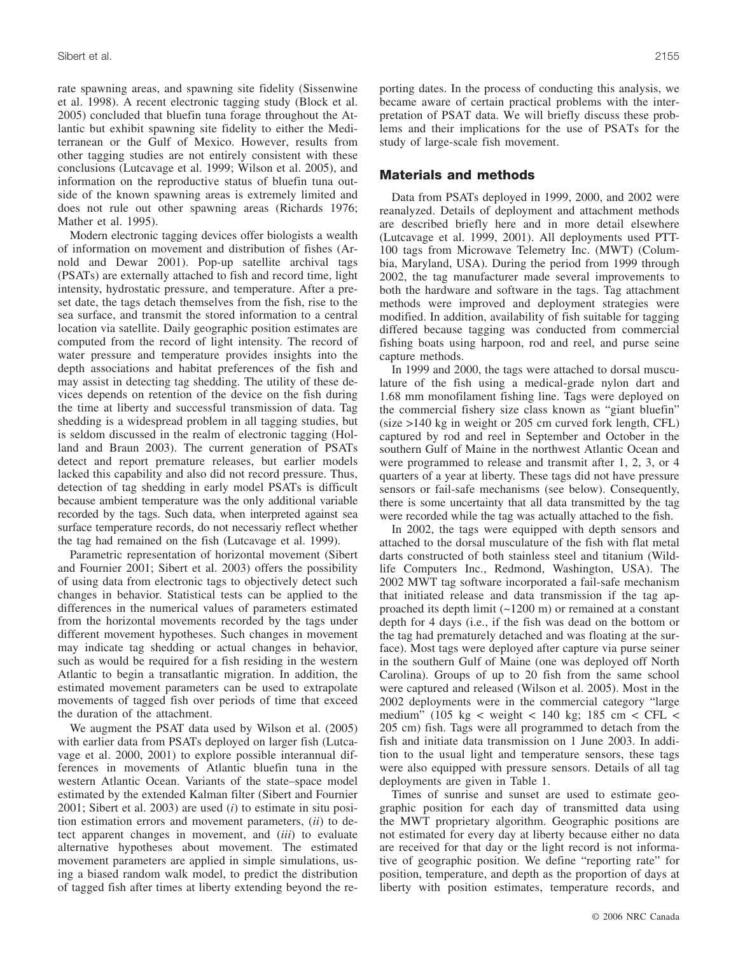rate spawning areas, and spawning site fidelity (Sissenwine et al. 1998). A recent electronic tagging study (Block et al. 2005) concluded that bluefin tuna forage throughout the Atlantic but exhibit spawning site fidelity to either the Mediterranean or the Gulf of Mexico. However, results from other tagging studies are not entirely consistent with these conclusions (Lutcavage et al. 1999; Wilson et al. 2005), and information on the reproductive status of bluefin tuna outside of the known spawning areas is extremely limited and does not rule out other spawning areas (Richards 1976; Mather et al. 1995).

Modern electronic tagging devices offer biologists a wealth of information on movement and distribution of fishes (Arnold and Dewar 2001). Pop-up satellite archival tags (PSATs) are externally attached to fish and record time, light intensity, hydrostatic pressure, and temperature. After a preset date, the tags detach themselves from the fish, rise to the sea surface, and transmit the stored information to a central location via satellite. Daily geographic position estimates are computed from the record of light intensity. The record of water pressure and temperature provides insights into the depth associations and habitat preferences of the fish and may assist in detecting tag shedding. The utility of these devices depends on retention of the device on the fish during the time at liberty and successful transmission of data. Tag shedding is a widespread problem in all tagging studies, but is seldom discussed in the realm of electronic tagging (Holland and Braun 2003). The current generation of PSATs detect and report premature releases, but earlier models lacked this capability and also did not record pressure. Thus, detection of tag shedding in early model PSATs is difficult because ambient temperature was the only additional variable recorded by the tags. Such data, when interpreted against sea surface temperature records, do not necessariy reflect whether the tag had remained on the fish (Lutcavage et al. 1999).

Parametric representation of horizontal movement (Sibert and Fournier 2001; Sibert et al. 2003) offers the possibility of using data from electronic tags to objectively detect such changes in behavior. Statistical tests can be applied to the differences in the numerical values of parameters estimated from the horizontal movements recorded by the tags under different movement hypotheses. Such changes in movement may indicate tag shedding or actual changes in behavior, such as would be required for a fish residing in the western Atlantic to begin a transatlantic migration. In addition, the estimated movement parameters can be used to extrapolate movements of tagged fish over periods of time that exceed the duration of the attachment.

We augment the PSAT data used by Wilson et al. (2005) with earlier data from PSATs deployed on larger fish (Lutcavage et al. 2000, 2001) to explore possible interannual differences in movements of Atlantic bluefin tuna in the western Atlantic Ocean. Variants of the state–space model estimated by the extended Kalman filter (Sibert and Fournier 2001; Sibert et al. 2003) are used (*i*) to estimate in situ position estimation errors and movement parameters, (*ii*) to detect apparent changes in movement, and (*iii*) to evaluate alternative hypotheses about movement. The estimated movement parameters are applied in simple simulations, using a biased random walk model, to predict the distribution of tagged fish after times at liberty extending beyond the reporting dates. In the process of conducting this analysis, we became aware of certain practical problems with the interpretation of PSAT data. We will briefly discuss these problems and their implications for the use of PSATs for the study of large-scale fish movement.

#### **Materials and methods**

Data from PSATs deployed in 1999, 2000, and 2002 were reanalyzed. Details of deployment and attachment methods are described briefly here and in more detail elsewhere (Lutcavage et al. 1999, 2001). All deployments used PTT-100 tags from Microwave Telemetry Inc. (MWT) (Columbia, Maryland, USA). During the period from 1999 through 2002, the tag manufacturer made several improvements to both the hardware and software in the tags. Tag attachment methods were improved and deployment strategies were modified. In addition, availability of fish suitable for tagging differed because tagging was conducted from commercial fishing boats using harpoon, rod and reel, and purse seine capture methods.

In 1999 and 2000, the tags were attached to dorsal musculature of the fish using a medical-grade nylon dart and 1.68 mm monofilament fishing line. Tags were deployed on the commercial fishery size class known as "giant bluefin" (size >140 kg in weight or 205 cm curved fork length, CFL) captured by rod and reel in September and October in the southern Gulf of Maine in the northwest Atlantic Ocean and were programmed to release and transmit after 1, 2, 3, or 4 quarters of a year at liberty. These tags did not have pressure sensors or fail-safe mechanisms (see below). Consequently, there is some uncertainty that all data transmitted by the tag were recorded while the tag was actually attached to the fish.

In 2002, the tags were equipped with depth sensors and attached to the dorsal musculature of the fish with flat metal darts constructed of both stainless steel and titanium (Wildlife Computers Inc., Redmond, Washington, USA). The 2002 MWT tag software incorporated a fail-safe mechanism that initiated release and data transmission if the tag approached its depth limit (~1200 m) or remained at a constant depth for 4 days (i.e., if the fish was dead on the bottom or the tag had prematurely detached and was floating at the surface). Most tags were deployed after capture via purse seiner in the southern Gulf of Maine (one was deployed off North Carolina). Groups of up to 20 fish from the same school were captured and released (Wilson et al. 2005). Most in the 2002 deployments were in the commercial category "large medium" (105 kg < weight < 140 kg; 185 cm < CFL < 205 cm) fish. Tags were all programmed to detach from the fish and initiate data transmission on 1 June 2003. In addition to the usual light and temperature sensors, these tags were also equipped with pressure sensors. Details of all tag deployments are given in Table 1.

Times of sunrise and sunset are used to estimate geographic position for each day of transmitted data using the MWT proprietary algorithm. Geographic positions are not estimated for every day at liberty because either no data are received for that day or the light record is not informative of geographic position. We define "reporting rate" for position, temperature, and depth as the proportion of days at liberty with position estimates, temperature records, and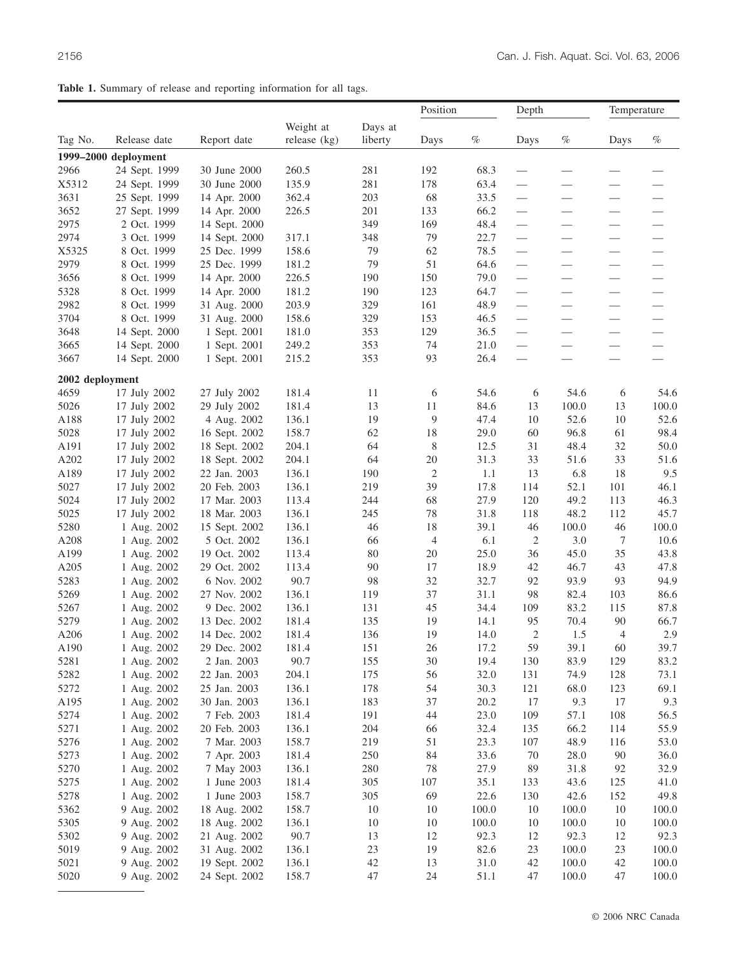|  |  |  | Table 1. Summary of release and reporting information for all tags. |  |  |
|--|--|--|---------------------------------------------------------------------|--|--|
|  |  |  |                                                                     |  |  |

|                 |                              |                                |                |          | Position       |              | Depth           |                                | Temperature                                   |                          |
|-----------------|------------------------------|--------------------------------|----------------|----------|----------------|--------------|-----------------|--------------------------------|-----------------------------------------------|--------------------------|
|                 |                              |                                | Weight at      | Days at  |                |              |                 |                                |                                               |                          |
| Tag No.         | Release date                 | Report date                    | release $(kg)$ | liberty  | Days           | $\%$         | Days            | $\%$                           | Days                                          | $\%$                     |
|                 | 1999-2000 deployment         |                                |                |          |                |              |                 |                                |                                               |                          |
| 2966            | 24 Sept. 1999                | 30 June 2000                   | 260.5          | 281      | 192            | 68.3         |                 | $\overline{\phantom{0}}$       |                                               |                          |
| X5312           | 24 Sept. 1999                | 30 June 2000                   | 135.9          | 281      | 178            | 63.4         |                 |                                |                                               |                          |
| 3631            | 25 Sept. 1999                | 14 Apr. 2000                   | 362.4          | 203      | 68             | 33.5         |                 |                                |                                               |                          |
| 3652            | 27 Sept. 1999                | 14 Apr. 2000                   | 226.5          | 201      | 133            | 66.2         |                 |                                | $\overline{\phantom{0}}$                      | $\overline{\phantom{0}}$ |
| 2975            | 2 Oct. 1999                  | 14 Sept. 2000                  |                | 349      | 169            | 48.4         |                 | $\qquad \qquad \longleftarrow$ | $\hspace{0.1mm}-\hspace{0.1mm}$               |                          |
| 2974            | 3 Oct. 1999                  | 14 Sept. 2000                  | 317.1          | 348      | 79             | 22.7         | $\qquad \qquad$ | $\qquad \qquad -$              |                                               | $\qquad \qquad$          |
| X5325           | 8 Oct. 1999                  | 25 Dec. 1999                   | 158.6          | 79       | 62             | 78.5         |                 |                                | $\hspace{0.05cm}$                             |                          |
| 2979            | 8 Oct. 1999                  | 25 Dec. 1999                   | 181.2          | 79       | 51             | 64.6         |                 | $\qquad \qquad \longleftarrow$ |                                               |                          |
| 3656            | 8 Oct. 1999                  | 14 Apr. 2000                   | 226.5          | 190      | 150            | 79.0         |                 |                                |                                               |                          |
| 5328            | 8 Oct. 1999                  | 14 Apr. 2000                   | 181.2          | 190      | 123            | 64.7         |                 | $\overline{\phantom{m}}$       | $\hspace{0.05cm}$                             |                          |
| 2982            | 8 Oct. 1999                  | 31 Aug. 2000                   | 203.9          | 329      | 161            | 48.9         |                 | $\qquad \qquad$                |                                               |                          |
| 3704            | 8 Oct. 1999                  | 31 Aug. 2000                   | 158.6          | 329      | 153            | 46.5         |                 | $\qquad \qquad$                | $\qquad \qquad \longleftarrow$                |                          |
| 3648            | 14 Sept. 2000                | 1 Sept. 2001                   | 181.0          | 353      | 129            | 36.5         |                 |                                |                                               |                          |
| 3665            | 14 Sept. 2000                | 1 Sept. 2001                   | 249.2          | 353      | 74             | 21.0         |                 |                                | $\qquad \qquad \overbrace{\qquad \qquad }^{}$ |                          |
| 3667            | 14 Sept. 2000                | 1 Sept. 2001                   | 215.2          | 353      | 93             | 26.4         |                 |                                |                                               | $\overline{\phantom{0}}$ |
|                 |                              |                                |                |          |                |              |                 |                                |                                               |                          |
| 2002 deployment |                              |                                |                |          |                |              |                 |                                |                                               |                          |
| 4659            | 17 July 2002                 | 27 July 2002                   | 181.4          | 11       | 6              | 54.6         | 6               | 54.6                           | 6                                             | 54.6                     |
| 5026            | 17 July 2002                 | 29 July 2002                   | 181.4          | 13       | 11<br>9        | 84.6         | 13              | 100.0                          | 13                                            | 100.0                    |
| A188<br>5028    | 17 July 2002                 | 4 Aug. 2002                    | 136.1<br>158.7 | 19<br>62 | 18             | 47.4<br>29.0 | 10<br>60        | 52.6<br>96.8                   | 10<br>61                                      | 52.6<br>98.4             |
| A191            | 17 July 2002<br>17 July 2002 | 16 Sept. 2002                  | 204.1          | 64       | 8              | 12.5         | 31              | 48.4                           | 32                                            | 50.0                     |
| A202            | 17 July 2002                 | 18 Sept. 2002<br>18 Sept. 2002 | 204.1          | 64       | 20             | 31.3         | 33              | 51.6                           | 33                                            | 51.6                     |
| A189            | 17 July 2002                 | 22 Jan. 2003                   | 136.1          | 190      | $\overline{2}$ | 1.1          | 13              | 6.8                            | 18                                            | 9.5                      |
| 5027            | 17 July 2002                 | 20 Feb. 2003                   | 136.1          | 219      | 39             | 17.8         | 114             | 52.1                           | 101                                           | 46.1                     |
| 5024            | 17 July 2002                 | 17 Mar. 2003                   | 113.4          | 244      | 68             | 27.9         | 120             | 49.2                           | 113                                           | 46.3                     |
| 5025            | 17 July 2002                 | 18 Mar. 2003                   | 136.1          | 245      | 78             | 31.8         | 118             | 48.2                           | 112                                           | 45.7                     |
| 5280            | 1 Aug. 2002                  | 15 Sept. 2002                  | 136.1          | 46       | 18             | 39.1         | 46              | 100.0                          | 46                                            | 100.0                    |
| A208            | 1 Aug. 2002                  | 5 Oct. 2002                    | 136.1          | 66       | $\overline{4}$ | 6.1          | $\overline{c}$  | 3.0                            | 7                                             | 10.6                     |
| A199            | 1 Aug. 2002                  | 19 Oct. 2002                   | 113.4          | 80       | 20             | 25.0         | 36              | 45.0                           | 35                                            | 43.8                     |
| A205            | 1 Aug. 2002                  | 29 Oct. 2002                   | 113.4          | 90       | 17             | 18.9         | 42              | 46.7                           | 43                                            | 47.8                     |
| 5283            | 1 Aug. 2002                  | 6 Nov. 2002                    | 90.7           | 98       | 32             | 32.7         | 92              | 93.9                           | 93                                            | 94.9                     |
| 5269            | 1 Aug. 2002                  | 27 Nov. 2002                   | 136.1          | 119      | 37             | 31.1         | 98              | 82.4                           | 103                                           | 86.6                     |
| 5267            | 1 Aug. 2002                  | 9 Dec. 2002                    | 136.1          | 131      | 45             | 34.4         | 109             | 83.2                           | 115                                           | 87.8                     |
| 5279            | 1 Aug. 2002                  | 13 Dec. 2002                   | 181.4          | 135      | 19             | 14.1         | 95              | 70.4                           | 90                                            | 66.7                     |
| A206            | 1 Aug. 2002                  | 14 Dec. 2002                   | 181.4          | 136      | 19             | 14.0         | 2               | 1.5                            | $\overline{4}$                                | 2.9                      |
| A190            | 1 Aug. 2002                  | 29 Dec. 2002                   | 181.4          | 151      | $26\,$         | 17.2         | 59              | 39.1                           | 60                                            | 39.7                     |
| 5281            | 1 Aug. 2002                  | 2 Jan. 2003                    | 90.7           | 155      | 30             | 19.4         | 130             | 83.9                           | 129                                           | 83.2                     |
| 5282            | 1 Aug. 2002                  | 22 Jan. 2003                   | 204.1          | 175      | 56             | 32.0         | 131             | 74.9                           | 128                                           | 73.1                     |
| 5272            | 1 Aug. 2002                  | 25 Jan. 2003                   | 136.1          | 178      | 54             | 30.3         | 121             | 68.0                           | 123                                           | 69.1                     |
| A195            | 1 Aug. 2002                  | 30 Jan. 2003                   | 136.1          | 183      | 37             | 20.2         | 17              | 9.3                            | 17                                            | 9.3                      |
| 5274            | 1 Aug. 2002                  | 7 Feb. 2003                    | 181.4          | 191      | 44             | 23.0         | 109             | 57.1                           | 108                                           | 56.5                     |
| 5271            | 1 Aug. 2002                  | 20 Feb. 2003                   | 136.1          | 204      | 66             | 32.4         | 135             | 66.2                           | 114                                           | 55.9                     |
| 5276            | 1 Aug. 2002                  | 7 Mar. 2003                    | 158.7          | 219      | 51             | 23.3         | 107             | 48.9                           | 116                                           | 53.0                     |
| 5273            | 1 Aug. 2002                  | 7 Apr. 2003                    | 181.4          | 250      | 84             | 33.6         | 70              | 28.0                           | 90                                            | 36.0                     |
| 5270            | 1 Aug. 2002                  | 7 May 2003                     | 136.1          | 280      | 78             | 27.9         | 89              | 31.8                           | 92                                            | 32.9                     |
| 5275            | 1 Aug. 2002                  | 1 June 2003                    | 181.4          | 305      | 107            | 35.1         | 133             | 43.6                           | 125                                           | 41.0                     |
| 5278            | 1 Aug. 2002                  | 1 June 2003                    | 158.7          | 305      | 69             | 22.6         | 130             | 42.6                           | 152                                           | 49.8                     |
| 5362            | 9 Aug. 2002                  | 18 Aug. 2002                   | 158.7          | 10       | 10             | 100.0        | 10              | 100.0                          | 10                                            | 100.0                    |
| 5305            | 9 Aug. 2002                  | 18 Aug. 2002                   | 136.1          | 10       | 10             | 100.0        | 10              | 100.0                          | 10                                            | 100.0                    |
| 5302            | 9 Aug. 2002                  | 21 Aug. 2002                   | 90.7           | 13       | 12             | 92.3         | 12              | 92.3                           | 12                                            | 92.3                     |
| 5019            | 9 Aug. 2002                  | 31 Aug. 2002                   | 136.1          | 23       | 19             | 82.6         | 23              | 100.0                          | 23                                            | 100.0                    |
| 5021            | 9 Aug. 2002                  | 19 Sept. 2002                  | 136.1          | 42       | 13             | 31.0         | $42\,$          | 100.0                          | 42                                            | 100.0                    |
| 5020            | 9 Aug. 2002                  | 24 Sept. 2002                  | 158.7          | 47       | 24             | 51.1         | 47              | 100.0                          | 47                                            | 100.0                    |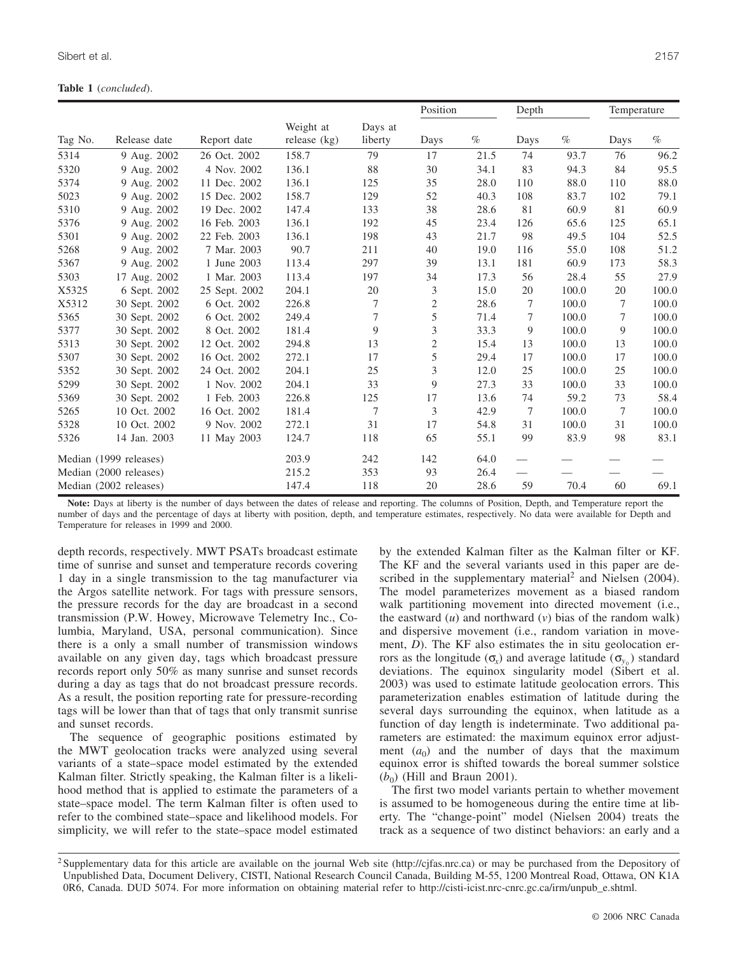|         |                        |               |                             |                    | Position       |      | Depth                    |       | Temperature |       |
|---------|------------------------|---------------|-----------------------------|--------------------|----------------|------|--------------------------|-------|-------------|-------|
| Tag No. | Release date           | Report date   | Weight at<br>release $(kg)$ | Days at<br>liberty | Days           | $\%$ | Days                     | $\%$  | Days        | $\%$  |
| 5314    | 9 Aug. 2002            | 26 Oct. 2002  | 158.7                       | 79                 | 17             | 21.5 | 74                       | 93.7  | 76          | 96.2  |
| 5320    | 9 Aug. 2002            | 4 Nov. 2002   | 136.1                       | 88                 | 30             | 34.1 | 83                       | 94.3  | 84          | 95.5  |
| 5374    | 9 Aug. 2002            | 11 Dec. 2002  | 136.1                       | 125                | 35             | 28.0 | 110                      | 88.0  | 110         | 88.0  |
| 5023    | 9 Aug. 2002            | 15 Dec. 2002  | 158.7                       | 129                | 52             | 40.3 | 108                      | 83.7  | 102         | 79.1  |
| 5310    | 9 Aug. 2002            | 19 Dec. 2002  | 147.4                       | 133                | 38             | 28.6 | 81                       | 60.9  | 81          | 60.9  |
| 5376    | 9 Aug. 2002            | 16 Feb. 2003  | 136.1                       | 192                | 45             | 23.4 | 126                      | 65.6  | 125         | 65.1  |
| 5301    | 9 Aug. 2002            | 22 Feb. 2003  | 136.1                       | 198                | 43             | 21.7 | 98                       | 49.5  | 104         | 52.5  |
| 5268    | 9 Aug. 2002            | 7 Mar. 2003   | 90.7                        | 211                | 40             | 19.0 | 116                      | 55.0  | 108         | 51.2  |
| 5367    | 9 Aug. 2002            | 1 June 2003   | 113.4                       | 297                | 39             | 13.1 | 181                      | 60.9  | 173         | 58.3  |
| 5303    | 17 Aug. 2002           | 1 Mar. 2003   | 113.4                       | 197                | 34             | 17.3 | 56                       | 28.4  | 55          | 27.9  |
| X5325   | 6 Sept. 2002           | 25 Sept. 2002 | 204.1                       | 20                 | 3              | 15.0 | 20                       | 100.0 | 20          | 100.0 |
| X5312   | 30 Sept. 2002          | 6 Oct. 2002   | 226.8                       | 7                  | $\overline{c}$ | 28.6 | 7                        | 100.0 | 7           | 100.0 |
| 5365    | 30 Sept. 2002          | 6 Oct. 2002   | 249.4                       | 7                  | 5              | 71.4 | 7                        | 100.0 | 7           | 100.0 |
| 5377    | 30 Sept. 2002          | 8 Oct. 2002   | 181.4                       | 9                  | 3              | 33.3 | 9                        | 100.0 | 9           | 100.0 |
| 5313    | 30 Sept. 2002          | 12 Oct. 2002  | 294.8                       | 13                 | $\overline{c}$ | 15.4 | 13                       | 100.0 | 13          | 100.0 |
| 5307    | 30 Sept. 2002          | 16 Oct. 2002  | 272.1                       | 17                 | 5              | 29.4 | 17                       | 100.0 | 17          | 100.0 |
| 5352    | 30 Sept. 2002          | 24 Oct. 2002  | 204.1                       | 25                 | 3              | 12.0 | 25                       | 100.0 | 25          | 100.0 |
| 5299    | 30 Sept. 2002          | 1 Nov. 2002   | 204.1                       | 33                 | 9              | 27.3 | 33                       | 100.0 | 33          | 100.0 |
| 5369    | 30 Sept. 2002          | 1 Feb. 2003   | 226.8                       | 125                | 17             | 13.6 | 74                       | 59.2  | 73          | 58.4  |
| 5265    | 10 Oct. 2002           | 16 Oct. 2002  | 181.4                       | 7                  | 3              | 42.9 | 7                        | 100.0 | 7           | 100.0 |
| 5328    | 10 Oct. 2002           | 9 Nov. 2002   | 272.1                       | 31                 | 17             | 54.8 | 31                       | 100.0 | 31          | 100.0 |
| 5326    | 14 Jan. 2003           | 11 May 2003   | 124.7                       | 118                | 65             | 55.1 | 99                       | 83.9  | 98          | 83.1  |
|         | Median (1999 releases) |               | 203.9                       | 242                | 142            | 64.0 | $\overline{\phantom{0}}$ |       |             |       |
|         | Median (2000 releases) |               | 215.2                       | 353                | 93             | 26.4 | $\sim$                   |       |             |       |
|         | Median (2002 releases) |               | 147.4                       | 118                | 20             | 28.6 | 59                       | 70.4  | 60          | 69.1  |

**Note:** Days at liberty is the number of days between the dates of release and reporting. The columns of Position, Depth, and Temperature report the number of days and the percentage of days at liberty with position, depth, and temperature estimates, respectively. No data were available for Depth and Temperature for releases in 1999 and 2000.

depth records, respectively. MWT PSATs broadcast estimate time of sunrise and sunset and temperature records covering 1 day in a single transmission to the tag manufacturer via the Argos satellite network. For tags with pressure sensors, the pressure records for the day are broadcast in a second transmission (P.W. Howey, Microwave Telemetry Inc., Columbia, Maryland, USA, personal communication). Since there is a only a small number of transmission windows available on any given day, tags which broadcast pressure records report only 50% as many sunrise and sunset records during a day as tags that do not broadcast pressure records. As a result, the position reporting rate for pressure-recording tags will be lower than that of tags that only transmit sunrise and sunset records.

The sequence of geographic positions estimated by the MWT geolocation tracks were analyzed using several variants of a state–space model estimated by the extended Kalman filter. Strictly speaking, the Kalman filter is a likelihood method that is applied to estimate the parameters of a state–space model. The term Kalman filter is often used to refer to the combined state–space and likelihood models. For simplicity, we will refer to the state–space model estimated by the extended Kalman filter as the Kalman filter or KF. The KF and the several variants used in this paper are described in the supplementary material<sup>2</sup> and Nielsen  $(2004)$ . The model parameterizes movement as a biased random walk partitioning movement into directed movement (i.e., the eastward  $(u)$  and northward  $(v)$  bias of the random walk) and dispersive movement (i.e., random variation in movement, *D*). The KF also estimates the in situ geolocation errors as the longitude (σ<sup>*x*</sup>) and average latitude (σ<sup>*x*<sub>*x*</sub></sup>) standard deviations. The equinox singularity model (Sibert et al. 2003) was used to estimate latitude geolocation errors. This parameterization enables estimation of latitude during the several days surrounding the equinox, when latitude as a function of day length is indeterminate. Two additional parameters are estimated: the maximum equinox error adjustment  $(a_0)$  and the number of days that the maximum equinox error is shifted towards the boreal summer solstice  $(b_0)$  (Hill and Braun 2001).

The first two model variants pertain to whether movement is assumed to be homogeneous during the entire time at liberty. The "change-point" model (Nielsen 2004) treats the track as a sequence of two distinct behaviors: an early and a

<sup>&</sup>lt;sup>2</sup> Supplementary data for this article are available on the journal Web site (http://cjfas.nrc.ca) or may be purchased from the Depository of Unpublished Data, Document Delivery, CISTI, National Research Council Canada, Building M-55, 1200 Montreal Road, Ottawa, ON K1A 0R6, Canada. DUD 5074. For more information on obtaining material refer to http://cisti-icist.nrc-cnrc.gc.ca/irm/unpub\_e.shtml.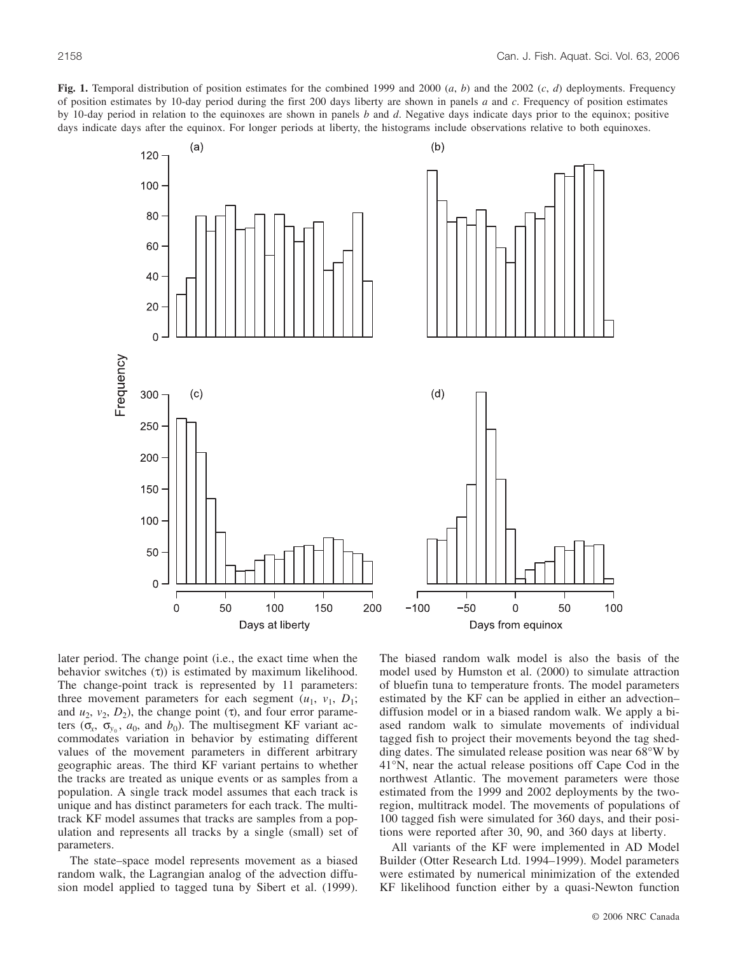**Fig. 1.** Temporal distribution of position estimates for the combined 1999 and 2000 (*a*, *b*) and the 2002 (*c*, *d*) deployments. Frequency of position estimates by 10-day period during the first 200 days liberty are shown in panels *a* and *c*. Frequency of position estimates by 10-day period in relation to the equinoxes are shown in panels *b* and *d*. Negative days indicate days prior to the equinox; positive days indicate days after the equinox. For longer periods at liberty, the histograms include observations relative to both equinoxes.



later period. The change point (i.e., the exact time when the behavior switches  $(τ)$ ) is estimated by maximum likelihood. The change-point track is represented by 11 parameters: three movement parameters for each segment  $(u_1, v_1, D_1;$ and  $u_2$ ,  $v_2$ ,  $D_2$ ), the change point (τ), and four error parameters ( $\sigma_x$ ,  $\sigma_{y_0}$ ,  $a_0$ , and  $b_0$ ). The multisegment KF variant accommodates variation in behavior by estimating different values of the movement parameters in different arbitrary geographic areas. The third KF variant pertains to whether the tracks are treated as unique events or as samples from a population. A single track model assumes that each track is unique and has distinct parameters for each track. The multitrack KF model assumes that tracks are samples from a population and represents all tracks by a single (small) set of parameters.

The state–space model represents movement as a biased random walk, the Lagrangian analog of the advection diffusion model applied to tagged tuna by Sibert et al. (1999). The biased random walk model is also the basis of the model used by Humston et al. (2000) to simulate attraction of bluefin tuna to temperature fronts. The model parameters estimated by the KF can be applied in either an advection– diffusion model or in a biased random walk. We apply a biased random walk to simulate movements of individual tagged fish to project their movements beyond the tag shedding dates. The simulated release position was near 68°W by 41°N, near the actual release positions off Cape Cod in the northwest Atlantic. The movement parameters were those estimated from the 1999 and 2002 deployments by the tworegion, multitrack model. The movements of populations of 100 tagged fish were simulated for 360 days, and their positions were reported after 30, 90, and 360 days at liberty.

All variants of the KF were implemented in AD Model Builder (Otter Research Ltd. 1994–1999). Model parameters were estimated by numerical minimization of the extended KF likelihood function either by a quasi-Newton function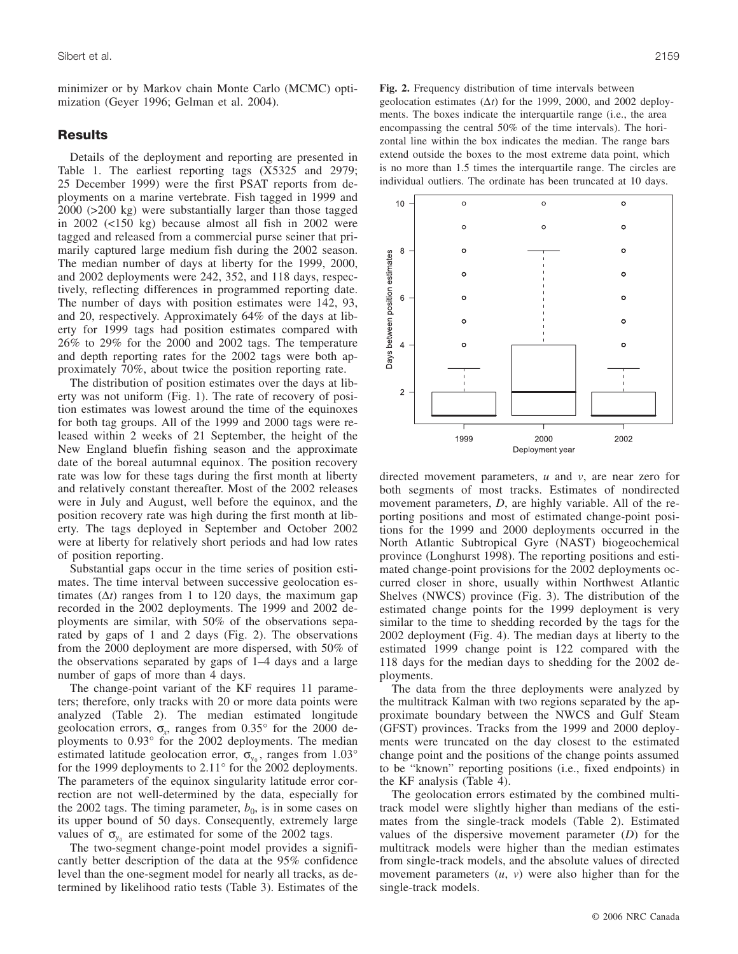minimizer or by Markov chain Monte Carlo (MCMC) optimization (Geyer 1996; Gelman et al. 2004).

#### **Results**

Details of the deployment and reporting are presented in Table 1. The earliest reporting tags (X5325 and 2979; 25 December 1999) were the first PSAT reports from deployments on a marine vertebrate. Fish tagged in 1999 and 2000 (>200 kg) were substantially larger than those tagged in 2002 (<150 kg) because almost all fish in 2002 were tagged and released from a commercial purse seiner that primarily captured large medium fish during the 2002 season. The median number of days at liberty for the 1999, 2000, and 2002 deployments were 242, 352, and 118 days, respectively, reflecting differences in programmed reporting date. The number of days with position estimates were 142, 93, and 20, respectively. Approximately 64% of the days at liberty for 1999 tags had position estimates compared with 26% to 29% for the 2000 and 2002 tags. The temperature and depth reporting rates for the 2002 tags were both approximately 70%, about twice the position reporting rate.

The distribution of position estimates over the days at liberty was not uniform (Fig. 1). The rate of recovery of position estimates was lowest around the time of the equinoxes for both tag groups. All of the 1999 and 2000 tags were released within 2 weeks of 21 September, the height of the New England bluefin fishing season and the approximate date of the boreal autumnal equinox. The position recovery rate was low for these tags during the first month at liberty and relatively constant thereafter. Most of the 2002 releases were in July and August, well before the equinox, and the position recovery rate was high during the first month at liberty. The tags deployed in September and October 2002 were at liberty for relatively short periods and had low rates of position reporting.

Substantial gaps occur in the time series of position estimates. The time interval between successive geolocation estimates (∆*t*) ranges from 1 to 120 days, the maximum gap recorded in the 2002 deployments. The 1999 and 2002 deployments are similar, with 50% of the observations separated by gaps of 1 and 2 days (Fig. 2). The observations from the 2000 deployment are more dispersed, with 50% of the observations separated by gaps of 1–4 days and a large number of gaps of more than 4 days.

The change-point variant of the KF requires 11 parameters; therefore, only tracks with 20 or more data points were analyzed (Table 2). The median estimated longitude geolocation errors,  $\sigma_r$ , ranges from 0.35° for the 2000 deployments to 0.93° for the 2002 deployments. The median estimated latitude geolocation error,  $\sigma_{y_0}$ , ranges from 1.03° for the 1999 deployments to 2.11° for the 2002 deployments. The parameters of the equinox singularity latitude error correction are not well-determined by the data, especially for the 2002 tags. The timing parameter,  $b_0$ , is in some cases on its upper bound of 50 days. Consequently, extremely large values of  $\sigma_{y_0}$  are estimated for some of the 2002 tags.

The two-segment change-point model provides a significantly better description of the data at the 95% confidence level than the one-segment model for nearly all tracks, as determined by likelihood ratio tests (Table 3). Estimates of the

**Fig. 2.** Frequency distribution of time intervals between geolocation estimates (∆*t*) for the 1999, 2000, and 2002 deployments. The boxes indicate the interquartile range (i.e., the area encompassing the central 50% of the time intervals). The horizontal line within the box indicates the median. The range bars extend outside the boxes to the most extreme data point, which is no more than 1.5 times the interquartile range. The circles are individual outliers. The ordinate has been truncated at 10 days.



directed movement parameters, *u* and *v*, are near zero for both segments of most tracks. Estimates of nondirected movement parameters, *D*, are highly variable. All of the reporting positions and most of estimated change-point positions for the 1999 and 2000 deployments occurred in the North Atlantic Subtropical Gyre (NAST) biogeochemical province (Longhurst 1998). The reporting positions and estimated change-point provisions for the 2002 deployments occurred closer in shore, usually within Northwest Atlantic Shelves (NWCS) province (Fig. 3). The distribution of the estimated change points for the 1999 deployment is very similar to the time to shedding recorded by the tags for the 2002 deployment (Fig. 4). The median days at liberty to the estimated 1999 change point is 122 compared with the 118 days for the median days to shedding for the 2002 deployments.

The data from the three deployments were analyzed by the multitrack Kalman with two regions separated by the approximate boundary between the NWCS and Gulf Steam (GFST) provinces. Tracks from the 1999 and 2000 deployments were truncated on the day closest to the estimated change point and the positions of the change points assumed to be "known" reporting positions (i.e., fixed endpoints) in the KF analysis (Table 4).

The geolocation errors estimated by the combined multitrack model were slightly higher than medians of the estimates from the single-track models (Table 2). Estimated values of the dispersive movement parameter (*D*) for the multitrack models were higher than the median estimates from single-track models, and the absolute values of directed movement parameters (*u*, *v*) were also higher than for the single-track models.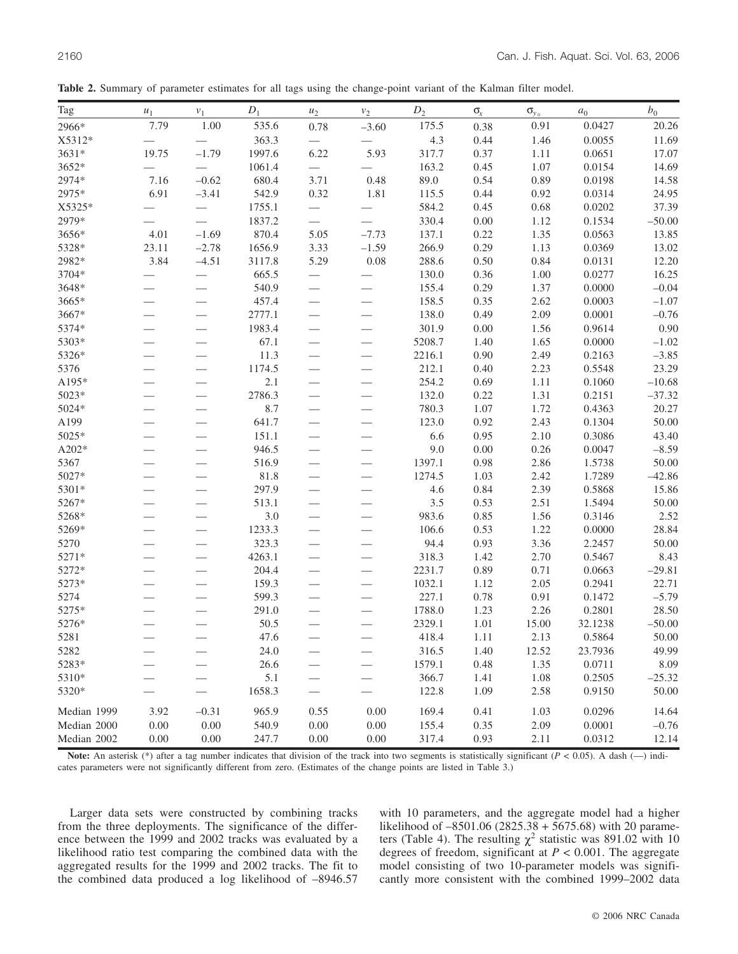**Table 2.** Summary of parameter estimates for all tags using the change-point variant of the Kalman filter model.

| Tag         | $\boldsymbol{u}_1$       | $\nu_1$                  | $\mathcal{D}_1$ | $\boldsymbol{u}_2$       | $v_2$                    | $D_2$  | $\mathsf{O}_x$ | $\sigma_{y_0}$ | $\boldsymbol{a}_0$ | $b_{0}% =\sqrt{b_{0}}\left( 1-\frac{1}{\sqrt{b_{0}}}\right) ^{2}$ |
|-------------|--------------------------|--------------------------|-----------------|--------------------------|--------------------------|--------|----------------|----------------|--------------------|-------------------------------------------------------------------|
| 2966*       | 7.79                     | 1.00                     | 535.6           | 0.78                     | $-3.60$                  | 175.5  | 0.38           | 0.91           | 0.0427             | 20.26                                                             |
| X5312*      |                          |                          | 363.3           | $\equiv$                 | $\qquad \qquad$          | 4.3    | 0.44           | 1.46           | 0.0055             | 11.69                                                             |
| 3631*       | 19.75                    | $-1.79$                  | 1997.6          | 6.22                     | 5.93                     | 317.7  | 0.37           | 1.11           | 0.0651             | 17.07                                                             |
| 3652*       |                          | $\overline{\phantom{0}}$ | 1061.4          | $\equiv$                 |                          | 163.2  | 0.45           | 1.07           | 0.0154             | 14.69                                                             |
| 2974*       | 7.16                     | $-0.62$                  | 680.4           | 3.71                     | 0.48                     | 89.0   | 0.54           | 0.89           | 0.0198             | 14.58                                                             |
| 2975*       | 6.91                     | $-3.41$                  | 542.9           | 0.32                     | 1.81                     | 115.5  | 0.44           | $0.92\,$       | 0.0314             | 24.95                                                             |
| X5325*      |                          |                          | 1755.1          |                          |                          | 584.2  | 0.45           | 0.68           | 0.0202             | 37.39                                                             |
| 2979*       |                          |                          | 1837.2          |                          |                          | 330.4  | $0.00\,$       | 1.12           | 0.1534             | $-50.00$                                                          |
| 3656*       | 4.01                     | $-1.69$                  | 870.4           | 5.05                     | $-7.73$                  | 137.1  | 0.22           | 1.35           | 0.0563             | 13.85                                                             |
| 5328*       | 23.11                    | $-2.78$                  | 1656.9          | 3.33                     | $-1.59$                  | 266.9  | 0.29           | 1.13           | 0.0369             | 13.02                                                             |
| 2982*       | 3.84                     | $-4.51$                  | 3117.8          | 5.29                     | 0.08                     | 288.6  | 0.50           | 0.84           | 0.0131             | 12.20                                                             |
| 3704*       |                          | $\overline{\phantom{0}}$ | 665.5           |                          |                          | 130.0  | 0.36           | 1.00           | 0.0277             | 16.25                                                             |
| 3648*       |                          | $\overline{\phantom{0}}$ | 540.9           | $\overline{\phantom{0}}$ |                          | 155.4  | 0.29           | 1.37           | 0.0000             | $-0.04$                                                           |
| 3665*       |                          | $\overline{\phantom{0}}$ | 457.4           | $\overline{\phantom{0}}$ | $\overline{\phantom{0}}$ | 158.5  | 0.35           | 2.62           | 0.0003             | $-1.07$                                                           |
| 3667*       |                          |                          | 2777.1          |                          | $\overline{\phantom{0}}$ | 138.0  | 0.49           | 2.09           | 0.0001             | $-0.76$                                                           |
| 5374*       |                          |                          | 1983.4          |                          |                          | 301.9  | $0.00\,$       | 1.56           | 0.9614             | 0.90                                                              |
| 5303*       |                          |                          | 67.1            |                          |                          | 5208.7 | 1.40           | 1.65           | 0.0000             | $-1.02$                                                           |
| 5326*       |                          |                          | 11.3            | $\overline{\phantom{0}}$ |                          | 2216.1 | 0.90           | 2.49           | 0.2163             | $-3.85$                                                           |
| 5376        |                          | $\overline{\phantom{0}}$ | 1174.5          | $\overline{\phantom{0}}$ |                          | 212.1  | 0.40           | 2.23           | 0.5548             | 23.29                                                             |
| A195*       |                          | $\overline{\phantom{0}}$ | 2.1             | $\overline{\phantom{0}}$ | $\overline{\phantom{0}}$ | 254.2  | 0.69           | 1.11           | 0.1060             | $-10.68$                                                          |
| 5023*       |                          |                          | 2786.3          | $\overline{\phantom{0}}$ | $\overline{\phantom{0}}$ | 132.0  | 0.22           | 1.31           | 0.2151             | $-37.32$                                                          |
| 5024*       |                          |                          | 8.7             |                          |                          | 780.3  | 1.07           | 1.72           | 0.4363             | 20.27                                                             |
| A199        |                          |                          | 641.7           |                          |                          | 123.0  | 0.92           | 2.43           | 0.1304             | 50.00                                                             |
| 5025*       |                          |                          | 151.1           |                          |                          | 6.6    | 0.95           | 2.10           | 0.3086             | 43.40                                                             |
| $A202*$     |                          | $\overline{\phantom{0}}$ | 946.5           | $\overline{\phantom{0}}$ | $\overline{\phantom{0}}$ | 9.0    | 0.00           | 0.26           | 0.0047             | $-8.59$                                                           |
| 5367        |                          | $\overline{\phantom{0}}$ | 516.9           | $\overline{\phantom{0}}$ | $\overline{\phantom{0}}$ | 1397.1 | 0.98           | 2.86           | 1.5738             | 50.00                                                             |
| 5027*       |                          | $\overline{\phantom{0}}$ | 81.8            | $\overline{\phantom{0}}$ |                          | 1274.5 | 1.03           | 2.42           | 1.7289             | $-42.86$                                                          |
| 5301*       |                          |                          | 297.9           | $\overline{\phantom{0}}$ |                          | 4.6    | 0.84           | 2.39           | 0.5868             | 15.86                                                             |
| 5267*       | $\overline{\phantom{0}}$ | $\overline{\phantom{0}}$ | 513.1           |                          |                          | 3.5    | 0.53           | 2.51           | 1.5494             | 50.00                                                             |
| 5268*       |                          |                          | 3.0             |                          |                          | 983.6  | 0.85           | 1.56           | 0.3146             | 2.52                                                              |
| 5269*       |                          |                          | 1233.3          |                          |                          | 106.6  | 0.53           | 1.22           | 0.0000             | 28.84                                                             |
| 5270        |                          |                          | 323.3           |                          | $\overline{\phantom{0}}$ | 94.4   | 0.93           | 3.36           | 2.2457             | 50.00                                                             |
| 5271*       |                          |                          | 4263.1          |                          |                          | 318.3  | 1.42           | 2.70           | 0.5467             | 8.43                                                              |
| 5272*       |                          | $\overline{\phantom{0}}$ | 204.4           | $\overline{\phantom{0}}$ |                          | 2231.7 | 0.89           | 0.71           | 0.0663             | $-29.81$                                                          |
| 5273*       |                          |                          | 159.3           | $\overline{\phantom{0}}$ | $\overline{\phantom{0}}$ | 1032.1 | 1.12           | 2.05           | 0.2941             | 22.71                                                             |
| 5274        |                          |                          | 599.3           | $\frac{1}{2}$            | $\overline{\phantom{0}}$ | 227.1  | 0.78           | 0.91           | 0.1472             | $-5.79$                                                           |
| 5275*       |                          |                          | 291.0           |                          |                          | 1788.0 | 1.23           | 2.26           | 0.2801             | 28.50                                                             |
| 5276*       |                          |                          | 50.5            |                          |                          | 2329.1 | 1.01           | 15.00          | 32.1238            | $-50.00$                                                          |
| 5281        |                          |                          | 47.6            |                          |                          | 418.4  | 1.11           | 2.13           | 0.5864             | 50.00                                                             |
| 5282        |                          |                          | 24.0            |                          |                          | 316.5  | 1.40           | 12.52          | 23.7936            | 49.99                                                             |
| 5283*       |                          |                          | 26.6            |                          |                          | 1579.1 | 0.48           | 1.35           | 0.0711             | 8.09                                                              |
| 5310*       |                          |                          | 5.1             | $\overline{\phantom{0}}$ | $\overline{\phantom{0}}$ | 366.7  | 1.41           | 1.08           | 0.2505             | $-25.32$                                                          |
| 5320*       |                          |                          | 1658.3          |                          |                          | 122.8  | 1.09           | 2.58           | 0.9150             | 50.00                                                             |
| Median 1999 | 3.92                     | $-0.31$                  | 965.9           | 0.55                     | 0.00                     | 169.4  | 0.41           | 1.03           | 0.0296             | 14.64                                                             |
| Median 2000 | 0.00                     | 0.00                     | 540.9           | 0.00                     | 0.00                     | 155.4  | 0.35           | 2.09           | 0.0001             | $-0.76$                                                           |
| Median 2002 | 0.00                     | 0.00                     | 247.7           | 0.00                     | $0.00\,$                 | 317.4  | 0.93           | 2.11           | 0.0312             | 12.14                                                             |

Note: An asterisk (\*) after a tag number indicates that division of the track into two segments is statistically significant (*P* < 0.05). A dash (--) indicates parameters were not significantly different from zero. (Estimates of the change points are listed in Table 3.)

Larger data sets were constructed by combining tracks from the three deployments. The significance of the difference between the 1999 and 2002 tracks was evaluated by a likelihood ratio test comparing the combined data with the aggregated results for the 1999 and 2002 tracks. The fit to the combined data produced a log likelihood of –8946.57 with 10 parameters, and the aggregate model had a higher likelihood of –8501.06 (2825.38 + 5675.68) with 20 parameters (Table 4). The resulting  $\chi^2$  statistic was 891.02 with 10 degrees of freedom, significant at  $P < 0.001$ . The aggregate model consisting of two 10-parameter models was significantly more consistent with the combined 1999–2002 data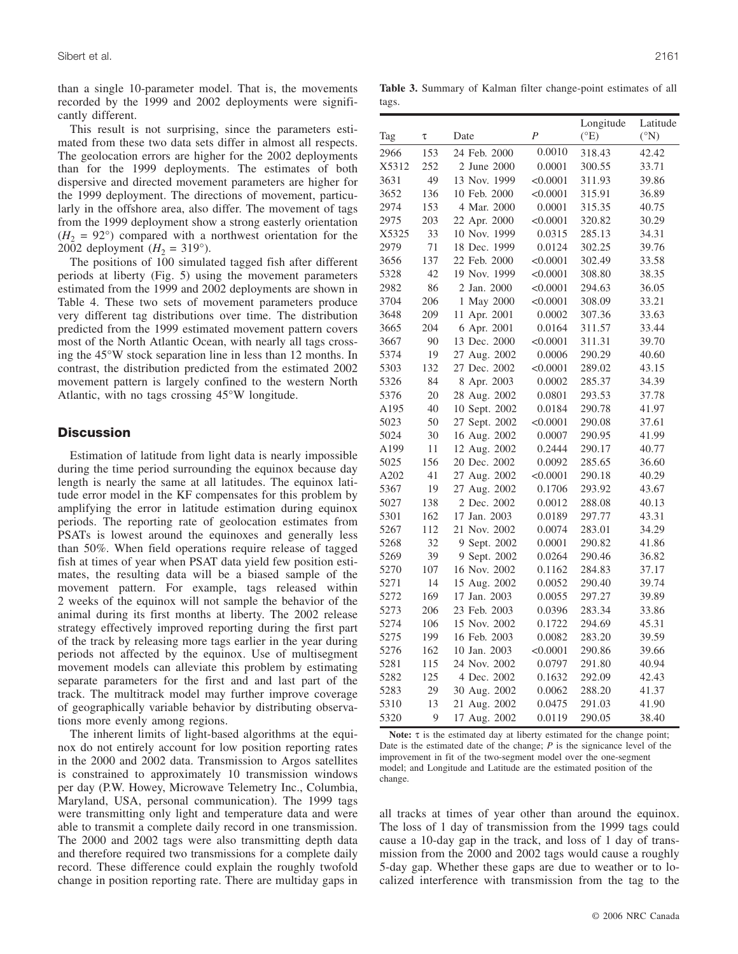than a single 10-parameter model. That is, the movements recorded by the 1999 and 2002 deployments were significantly different.

This result is not surprising, since the parameters estimated from these two data sets differ in almost all respects. The geolocation errors are higher for the 2002 deployments than for the 1999 deployments. The estimates of both dispersive and directed movement parameters are higher for the 1999 deployment. The directions of movement, particularly in the offshore area, also differ. The movement of tags from the 1999 deployment show a strong easterly orientation  $(H_2 = 92^{\circ})$  compared with a northwest orientation for the 2002 deployment  $(H_2 = 319^{\circ})$ .

The positions of 100 simulated tagged fish after different periods at liberty (Fig. 5) using the movement parameters estimated from the 1999 and 2002 deployments are shown in Table 4. These two sets of movement parameters produce very different tag distributions over time. The distribution predicted from the 1999 estimated movement pattern covers most of the North Atlantic Ocean, with nearly all tags crossing the 45°W stock separation line in less than 12 months. In contrast, the distribution predicted from the estimated 2002 movement pattern is largely confined to the western North Atlantic, with no tags crossing 45°W longitude.

## **Discussion**

Estimation of latitude from light data is nearly impossible during the time period surrounding the equinox because day length is nearly the same at all latitudes. The equinox latitude error model in the KF compensates for this problem by amplifying the error in latitude estimation during equinox periods. The reporting rate of geolocation estimates from PSATs is lowest around the equinoxes and generally less than 50%. When field operations require release of tagged fish at times of year when PSAT data yield few position estimates, the resulting data will be a biased sample of the movement pattern. For example, tags released within 2 weeks of the equinox will not sample the behavior of the animal during its first months at liberty. The 2002 release strategy effectively improved reporting during the first part of the track by releasing more tags earlier in the year during periods not affected by the equinox. Use of multisegment movement models can alleviate this problem by estimating separate parameters for the first and and last part of the track. The multitrack model may further improve coverage of geographically variable behavior by distributing observations more evenly among regions.

The inherent limits of light-based algorithms at the equinox do not entirely account for low position reporting rates in the 2000 and 2002 data. Transmission to Argos satellites is constrained to approximately 10 transmission windows per day (P.W. Howey, Microwave Telemetry Inc., Columbia, Maryland, USA, personal communication). The 1999 tags were transmitting only light and temperature data and were able to transmit a complete daily record in one transmission. The 2000 and 2002 tags were also transmitting depth data and therefore required two transmissions for a complete daily record. These difference could explain the roughly twofold change in position reporting rate. There are multiday gaps in

**Table 3.** Summary of Kalman filter change-point estimates of all tags.

|       |     |               |                | Longitude | Latitude        |
|-------|-----|---------------|----------------|-----------|-----------------|
| Tag   | τ   | Date          | $\overline{P}$ | (°E)      | $({}^{\circ}N)$ |
| 2966  | 153 | 24 Feb. 2000  | 0.0010         | 318.43    | 42.42           |
| X5312 | 252 | 2 June 2000   | 0.0001         | 300.55    | 33.71           |
| 3631  | 49  | 13 Nov. 1999  | < 0.0001       | 311.93    | 39.86           |
| 3652  | 136 | 10 Feb. 2000  | < 0.0001       | 315.91    | 36.89           |
| 2974  | 153 | 4 Mar. 2000   | 0.0001         | 315.35    | 40.75           |
| 2975  | 203 | 22 Apr. 2000  | < 0.0001       | 320.82    | 30.29           |
| X5325 | 33  | 10 Nov. 1999  | 0.0315         | 285.13    | 34.31           |
| 2979  | 71  | 18 Dec. 1999  | 0.0124         | 302.25    | 39.76           |
| 3656  | 137 | 22 Feb. 2000  | < 0.0001       | 302.49    | 33.58           |
| 5328  | 42  | 19 Nov. 1999  | < 0.0001       | 308.80    | 38.35           |
| 2982  | 86  | 2 Jan. 2000   | < 0.0001       | 294.63    | 36.05           |
| 3704  | 206 | 1 May 2000    | < 0.0001       | 308.09    | 33.21           |
| 3648  | 209 | 11 Apr. 2001  | 0.0002         | 307.36    | 33.63           |
| 3665  | 204 | 6 Apr. 2001   | 0.0164         | 311.57    | 33.44           |
| 3667  | 90  | 13 Dec. 2000  | < 0.0001       | 311.31    | 39.70           |
| 5374  | 19  | 27 Aug. 2002  | 0.0006         | 290.29    | 40.60           |
| 5303  | 132 | 27 Dec. 2002  | < 0.0001       | 289.02    | 43.15           |
| 5326  | 84  | 8 Apr. 2003   | 0.0002         | 285.37    | 34.39           |
| 5376  | 20  | 28 Aug. 2002  | 0.0801         | 293.53    | 37.78           |
| A195  | 40  | 10 Sept. 2002 | 0.0184         | 290.78    | 41.97           |
| 5023  | 50  | 27 Sept. 2002 | < 0.0001       | 290.08    | 37.61           |
| 5024  | 30  | 16 Aug. 2002  | 0.0007         | 290.95    | 41.99           |
| A199  | 11  | 12 Aug. 2002  | 0.2444         | 290.17    | 40.77           |
| 5025  | 156 | 20 Dec. 2002  | 0.0092         | 285.65    | 36.60           |
| A202  | 41  | 27 Aug. 2002  | < 0.0001       | 290.18    | 40.29           |
| 5367  | 19  | 27 Aug. 2002  | 0.1706         | 293.92    | 43.67           |
| 5027  | 138 | 2 Dec. 2002   | 0.0012         | 288.08    | 40.13           |
| 5301  | 162 | 17 Jan. 2003  | 0.0189         | 297.77    | 43.31           |
| 5267  | 112 | 21 Nov. 2002  | 0.0074         | 283.01    | 34.29           |
| 5268  | 32  | 9 Sept. 2002  | 0.0001         | 290.82    | 41.86           |
| 5269  | 39  | 9 Sept. 2002  | 0.0264         | 290.46    | 36.82           |
| 5270  | 107 | 16 Nov. 2002  | 0.1162         | 284.83    | 37.17           |
| 5271  | 14  | 15 Aug. 2002  | 0.0052         | 290.40    | 39.74           |
| 5272  | 169 | 17 Jan. 2003  | 0.0055         | 297.27    | 39.89           |
| 5273  | 206 | 23 Feb. 2003  | 0.0396         | 283.34    | 33.86           |
| 5274  | 106 | 15 Nov. 2002  | 0.1722         | 294.69    | 45.31           |
| 5275  | 199 | 16 Feb. 2003  | 0.0082         | 283.20    | 39.59           |
| 5276  | 162 | 10 Jan. 2003  | < 0.0001       | 290.86    | 39.66           |
| 5281  | 115 | 24 Nov. 2002  | 0.0797         | 291.80    | 40.94           |
| 5282  | 125 | 4 Dec. 2002   | 0.1632         | 292.09    | 42.43           |
| 5283  | 29  | 30 Aug. 2002  | 0.0062         | 288.20    | 41.37           |
| 5310  | 13  | 21 Aug. 2002  | 0.0475         | 291.03    | 41.90           |
| 5320  | 9   | 17 Aug. 2002  | 0.0119         | 290.05    | 38.40           |

**Note:** τ is the estimated day at liberty estimated for the change point; Date is the estimated date of the change; *P* is the signicance level of the improvement in fit of the two-segment model over the one-segment model; and Longitude and Latitude are the estimated position of the change.

all tracks at times of year other than around the equinox. The loss of 1 day of transmission from the 1999 tags could cause a 10-day gap in the track, and loss of 1 day of transmission from the 2000 and 2002 tags would cause a roughly 5-day gap. Whether these gaps are due to weather or to localized interference with transmission from the tag to the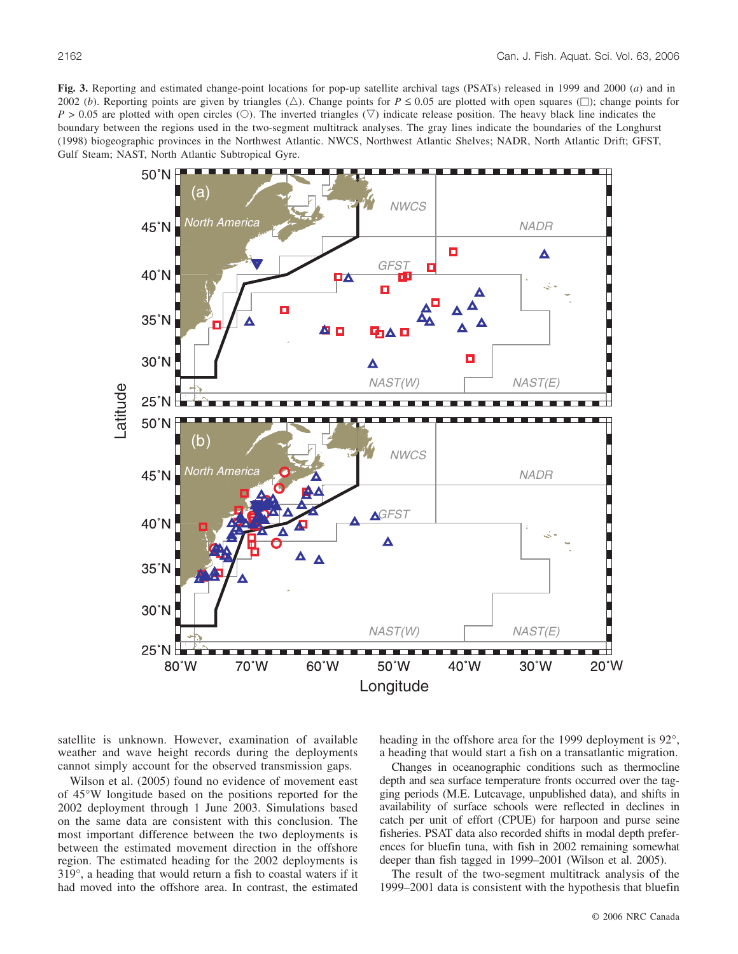**Fig. 3.** Reporting and estimated change-point locations for pop-up satellite archival tags (PSATs) released in 1999 and 2000 (*a*) and in 2002 (*b*). Reporting points are given by triangles  $(\triangle)$ . Change points for  $P \le 0.05$  are plotted with open squares  $(\square)$ ; change points for  $P > 0.05$  are plotted with open circles (O). The inverted triangles ( $\nabla$ ) indicate release position. The heavy black line indicates the boundary between the regions used in the two-segment multitrack analyses. The gray lines indicate the boundaries of the Longhurst (1998) biogeographic provinces in the Northwest Atlantic. NWCS, Northwest Atlantic Shelves; NADR, North Atlantic Drift; GFST, Gulf Steam; NAST, North Atlantic Subtropical Gyre.



satellite is unknown. However, examination of available weather and wave height records during the deployments cannot simply account for the observed transmission gaps.

Wilson et al. (2005) found no evidence of movement east of 45°W longitude based on the positions reported for the 2002 deployment through 1 June 2003. Simulations based on the same data are consistent with this conclusion. The most important difference between the two deployments is between the estimated movement direction in the offshore region. The estimated heading for the 2002 deployments is 319°, a heading that would return a fish to coastal waters if it had moved into the offshore area. In contrast, the estimated heading in the offshore area for the 1999 deployment is 92°, a heading that would start a fish on a transatlantic migration.

Changes in oceanographic conditions such as thermocline depth and sea surface temperature fronts occurred over the tagging periods (M.E. Lutcavage, unpublished data), and shifts in availability of surface schools were reflected in declines in catch per unit of effort (CPUE) for harpoon and purse seine fisheries. PSAT data also recorded shifts in modal depth preferences for bluefin tuna, with fish in 2002 remaining somewhat deeper than fish tagged in 1999–2001 (Wilson et al. 2005).

The result of the two-segment multitrack analysis of the 1999–2001 data is consistent with the hypothesis that bluefin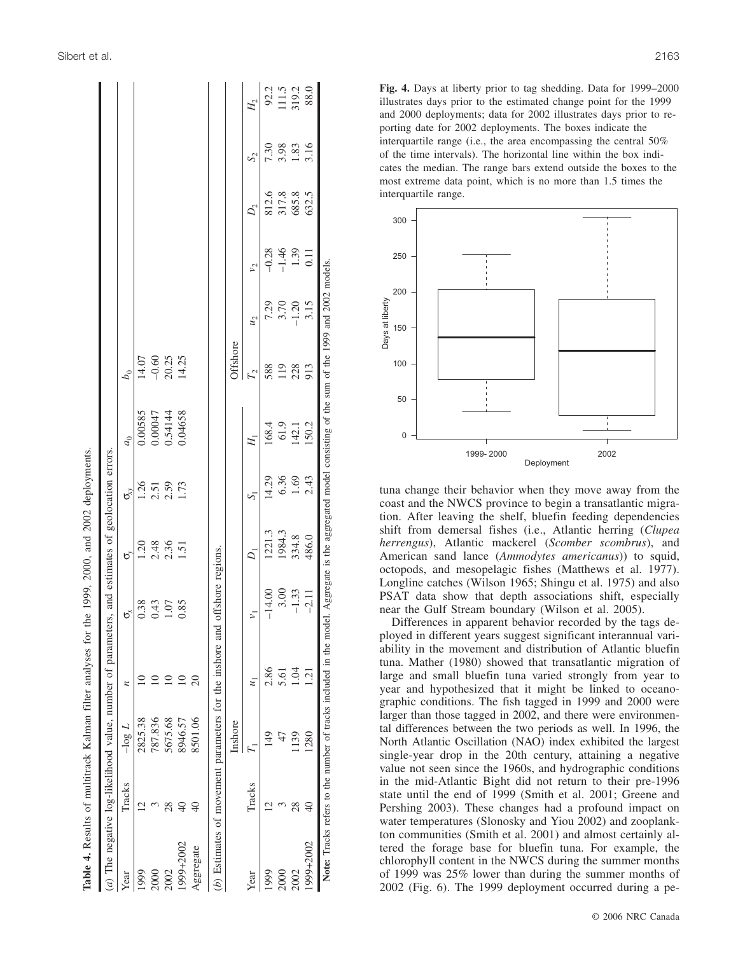|           |                 |                                                          |                         | <b>Table 4.</b> Results of multitrack Kalman filter analyses for the 1999, 2000, and 2002 deployments.                                                  |                |                                                                              |                |                           |                       |               |                |                |                        |
|-----------|-----------------|----------------------------------------------------------|-------------------------|---------------------------------------------------------------------------------------------------------------------------------------------------------|----------------|------------------------------------------------------------------------------|----------------|---------------------------|-----------------------|---------------|----------------|----------------|------------------------|
|           |                 |                                                          |                         | (a) The negative log-likelihood value, number of parameters, and estimates of geolocation errors.                                                       |                |                                                                              |                |                           |                       |               |                |                |                        |
| Year      | Tracks          | $- \log L$                                               | $\overline{\mathbf{z}}$ | ರ್                                                                                                                                                      | ರೆ             | $\sigma_{\!\scriptscriptstyle (\!\chi\!)}^{\!\scriptscriptstyle (\!\chi\!)}$ | a <sub>0</sub> | $b_0$                     |                       |               |                |                |                        |
| 1999      |                 | 2825.38                                                  |                         | 0.38                                                                                                                                                    | 1.20           | 1.26                                                                         | 0.00585        | 14.07                     |                       |               |                |                |                        |
|           |                 | 787.836                                                  |                         | 0.43                                                                                                                                                    |                |                                                                              |                |                           |                       |               |                |                |                        |
| 2002      | $^{28}$         | 5675.68                                                  |                         | 1.07                                                                                                                                                    | 2.48           | $2.51$<br>$2.59$                                                             | 0.54144        | $-0.60$<br>20.25<br>14.25 |                       |               |                |                |                        |
| 1999+2002 | $\frac{1}{2}$   | 8946.57                                                  |                         | 0.85                                                                                                                                                    | 1.51           | 1.73                                                                         | 0.04658        |                           |                       |               |                |                |                        |
| Aggregate | $\overline{0}$  | 8501.06                                                  | $\overline{c}$          |                                                                                                                                                         |                |                                                                              |                |                           |                       |               |                |                |                        |
|           |                 | (b) Estimates of movement parameters for the inshore and |                         | offshore regions.                                                                                                                                       |                |                                                                              |                |                           |                       |               |                |                |                        |
|           |                 | Inshore                                                  |                         |                                                                                                                                                         |                |                                                                              |                | Offshore                  |                       |               |                |                |                        |
| Year      | Tracks          |                                                          | $\mu_1$                 | $\overline{r}$                                                                                                                                          | $\overline{Q}$ | Σ                                                                            | H.             | $\Gamma_2$                | $\tilde{\mathcal{M}}$ | $\frac{5}{2}$ | $D_2$          | $S_2$          | $H_2$                  |
| 1999      | $\supseteq$     | $\frac{1}{4}$                                            | 2.86                    | $-14.00$                                                                                                                                                | 1221.3         | 14.29                                                                        | 168.4          | 588                       | 7.29                  | $-0.28$       | 812.6          | 7.30           |                        |
| 2000      |                 |                                                          | 5.61                    | 3.00                                                                                                                                                    | 1984.3         | 6.36                                                                         | 61.9           | 119                       | 3.70                  | $-1.46$       | 317.8<br>685.8 | $3.98$<br>1.83 | 92.2<br>111.5<br>319.2 |
| 2002      | $^{28}$         | 1139                                                     | FÖ.                     | $-1.33$                                                                                                                                                 | 334.8          | 1.69                                                                         | 142.1          | 228                       | $-1.20$               | 1.39          |                |                |                        |
| 1999+2002 | $\overline{40}$ | 1280                                                     | <u>์ลู</u>              | $-2.11$                                                                                                                                                 | 486.0          | 2.43                                                                         | 150.2          | 913                       | 3.15                  | 0.11          | 632.5          | 3.16           | 88.0                   |
|           |                 |                                                          |                         | Note: Tracks refers to the number of tracks included in the model. Aggregate is the aggregated model consisting of the sum of the 1999 and 2002 models. |                |                                                                              |                |                           |                       |               |                |                |                        |



**Fig. 4.** Days at liberty prior to tag shedding. Data for 1999–2000 illustrates days prior to the estimated change point for the 1999 and 2000 deployments; data for 2002 illustrates days prior to re porting date for 2002 deployments. The boxes indicate the interquartile range (i.e., the area encompassing the central 50% of the time intervals). The horizontal line within the box indi cates the median. The range bars extend outside the boxes to the most extreme data point, which is no more than 1.5 times the interquartile range.



tuna change their behavior when they move away from the coast and the NWCS province to begin a transatlantic migration. After leaving the shelf, bluefin feeding dependencies shift from demersal fishes (i.e., Atlantic herring (*Clupea herrengus*), Atlantic mackerel (*Scomber scombrus*), and American sand lance (*Ammodytes americanus*)) to squid, octopods, and mesopelagic fishes (Matthews et al. 1977). Longline catches (Wilson 1965; Shingu et al. 1975) and also PSAT data show that depth associations shift, especially near the Gulf Stream boundary (Wilson et al. 2005).

Differences in apparent behavior recorded by the tags de ployed in different years suggest significant interannual vari ability in the movement and distribution of Atlantic bluefin tuna. Mather (1980) showed that transatlantic migration of large and small bluefin tuna varied strongly from year to year and hypothesized that it might be linked to oceano graphic conditions. The fish tagged in 1999 and 2000 were larger than those tagged in 2002, and there were environmen tal differences between the two periods as well. In 1996, the North Atlantic Oscillation (NAO) index exhibited the largest single-year drop in the 20th century, attaining a negative value not seen since the 1960s, and hydrographic conditions in the mid-Atlantic Bight did not return to their pre-1996 state until the end of 1999 (Smith et al. 2001; Greene and Pershing 2003). These changes had a profound impact on water temperatures (Slonosky and Yiou 2002) and zooplank ton communities (Smith et al. 2001) and almost certainly al tered the forage base for bluefin tuna. For example, the chlorophyll content in the NWCS during the summer months of 1999 was 25% lower than during the summer months of 2002 (Fig. 6). The 1999 deployment occurred during a pe -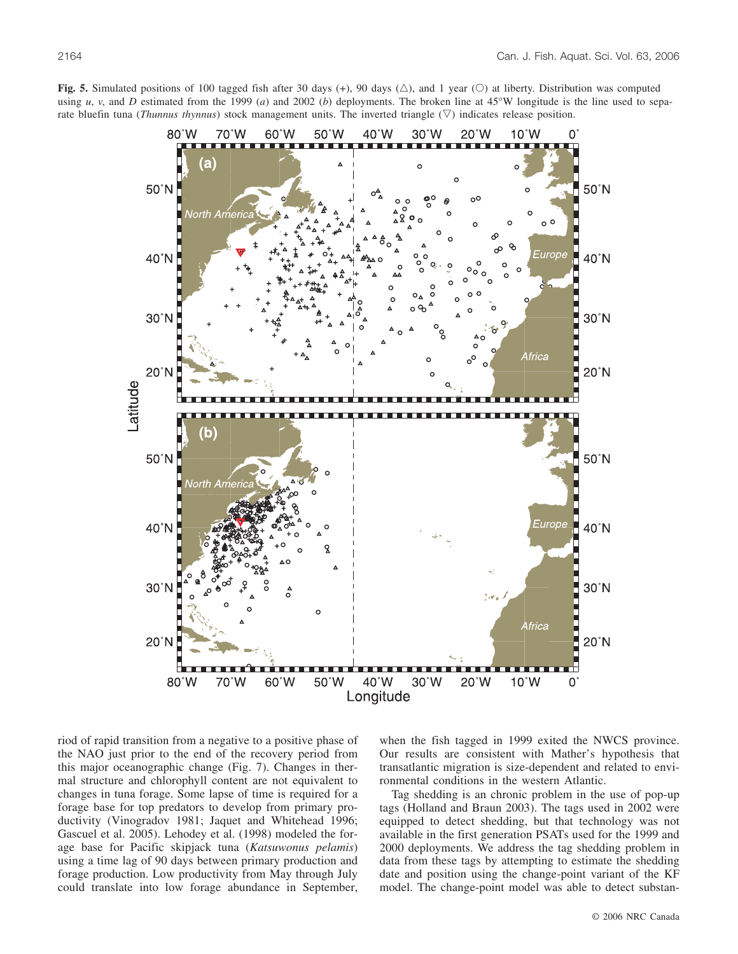

**Fig. 5.** Simulated positions of 100 tagged fish after 30 days (+), 90 days ( $\triangle$ ), and 1 year ( $\heartsuit$ ) at liberty. Distribution was computed using *u*, *v*, and *D* estimated from the 1999 (*a*) and 2002 (*b*) deployments. The broken line at 45°W longitude is the line used to separate bluefin tuna (*Thunnus thynnus*) stock management units. The inverted triangle  $(\nabla)$  indicates release position.

riod of rapid transition from a negative to a positive phase of the NAO just prior to the end of the recovery period from this major oceanographic change (Fig. 7). Changes in thermal structure and chlorophyll content are not equivalent to changes in tuna forage. Some lapse of time is required for a forage base for top predators to develop from primary productivity (Vinogradov 1981; Jaquet and Whitehead 1996; Gascuel et al. 2005). Lehodey et al. (1998) modeled the forage base for Pacific skipjack tuna (*Katsuwonus pelamis*) using a time lag of 90 days between primary production and forage production. Low productivity from May through July could translate into low forage abundance in September,

when the fish tagged in 1999 exited the NWCS province. Our results are consistent with Mather's hypothesis that transatlantic migration is size-dependent and related to environmental conditions in the western Atlantic.

Tag shedding is an chronic problem in the use of pop-up tags (Holland and Braun 2003). The tags used in 2002 were equipped to detect shedding, but that technology was not available in the first generation PSATs used for the 1999 and 2000 deployments. We address the tag shedding problem in data from these tags by attempting to estimate the shedding date and position using the change-point variant of the KF model. The change-point model was able to detect substan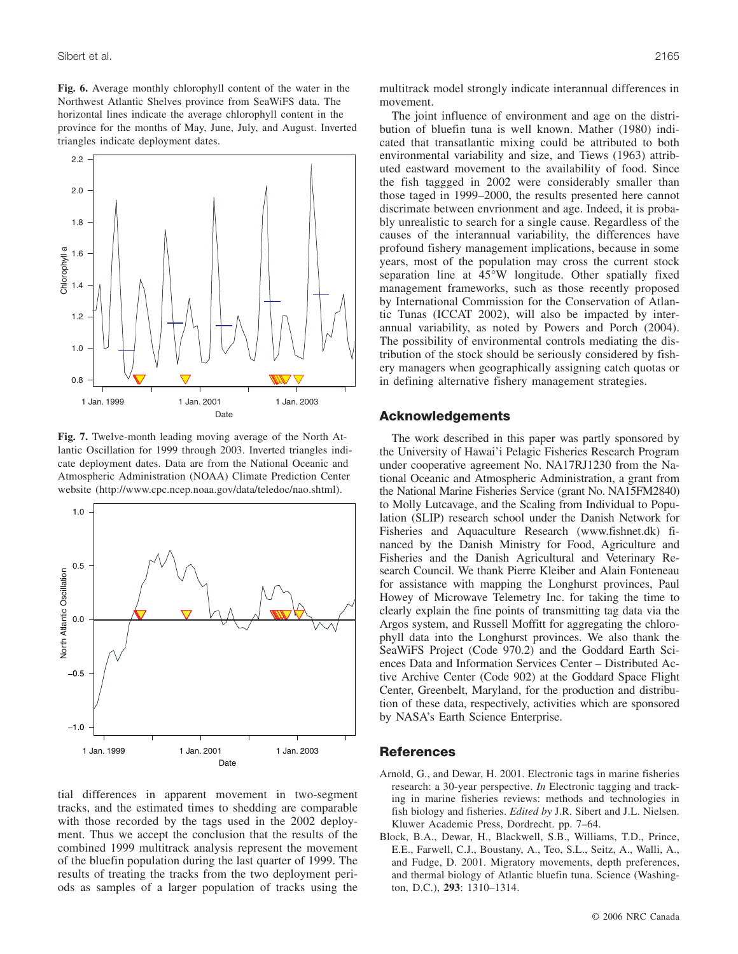**Fig. 6.** Average monthly chlorophyll content of the water in the Northwest Atlantic Shelves province from SeaWiFS data. The horizontal lines indicate the average chlorophyll content in the province for the months of May, June, July, and August. Inverted triangles indicate deployment dates.



**Fig. 7.** Twelve-month leading moving average of the North Atlantic Oscillation for 1999 through 2003. Inverted triangles indicate deployment dates. Data are from the National Oceanic and Atmospheric Administration (NOAA) Climate Prediction Center website (http://www.cpc.ncep.noaa.gov/data/teledoc/nao.shtml).



tial differences in apparent movement in two-segment tracks, and the estimated times to shedding are comparable with those recorded by the tags used in the 2002 deployment. Thus we accept the conclusion that the results of the combined 1999 multitrack analysis represent the movement of the bluefin population during the last quarter of 1999. The results of treating the tracks from the two deployment periods as samples of a larger population of tracks using the multitrack model strongly indicate interannual differences in

The joint influence of environment and age on the distribution of bluefin tuna is well known. Mather (1980) indicated that transatlantic mixing could be attributed to both environmental variability and size, and Tiews (1963) attributed eastward movement to the availability of food. Since the fish taggged in 2002 were considerably smaller than those taged in 1999–2000, the results presented here cannot discrimate between envrionment and age. Indeed, it is probably unrealistic to search for a single cause. Regardless of the causes of the interannual variability, the differences have profound fishery management implications, because in some years, most of the population may cross the current stock separation line at 45°W longitude. Other spatially fixed management frameworks, such as those recently proposed by International Commission for the Conservation of Atlantic Tunas (ICCAT 2002), will also be impacted by interannual variability, as noted by Powers and Porch (2004). The possibility of environmental controls mediating the distribution of the stock should be seriously considered by fishery managers when geographically assigning catch quotas or in defining alternative fishery management strategies.

## **Acknowledgements**

movement.

The work described in this paper was partly sponsored by the University of Hawai'i Pelagic Fisheries Research Program under cooperative agreement No. NA17RJ1230 from the National Oceanic and Atmospheric Administration, a grant from the National Marine Fisheries Service (grant No. NA15FM2840) to Molly Lutcavage, and the Scaling from Individual to Population (SLIP) research school under the Danish Network for Fisheries and Aquaculture Research (www.fishnet.dk) financed by the Danish Ministry for Food, Agriculture and Fisheries and the Danish Agricultural and Veterinary Research Council. We thank Pierre Kleiber and Alain Fonteneau for assistance with mapping the Longhurst provinces, Paul Howey of Microwave Telemetry Inc. for taking the time to clearly explain the fine points of transmitting tag data via the Argos system, and Russell Moffitt for aggregating the chlorophyll data into the Longhurst provinces. We also thank the SeaWiFS Project (Code 970.2) and the Goddard Earth Sciences Data and Information Services Center – Distributed Active Archive Center (Code 902) at the Goddard Space Flight Center, Greenbelt, Maryland, for the production and distribution of these data, respectively, activities which are sponsored by NASA's Earth Science Enterprise.

# **References**

- Arnold, G., and Dewar, H. 2001. Electronic tags in marine fisheries research: a 30-year perspective. *In* Electronic tagging and tracking in marine fisheries reviews: methods and technologies in fish biology and fisheries. *Edited by* J.R. Sibert and J.L. Nielsen. Kluwer Academic Press, Dordrecht. pp. 7–64.
- Block, B.A., Dewar, H., Blackwell, S.B., Williams, T.D., Prince, E.E., Farwell, C.J., Boustany, A., Teo, S.L., Seitz, A., Walli, A., and Fudge, D. 2001. Migratory movements, depth preferences, and thermal biology of Atlantic bluefin tuna. Science (Washington, D.C.), **293**: 1310–1314.